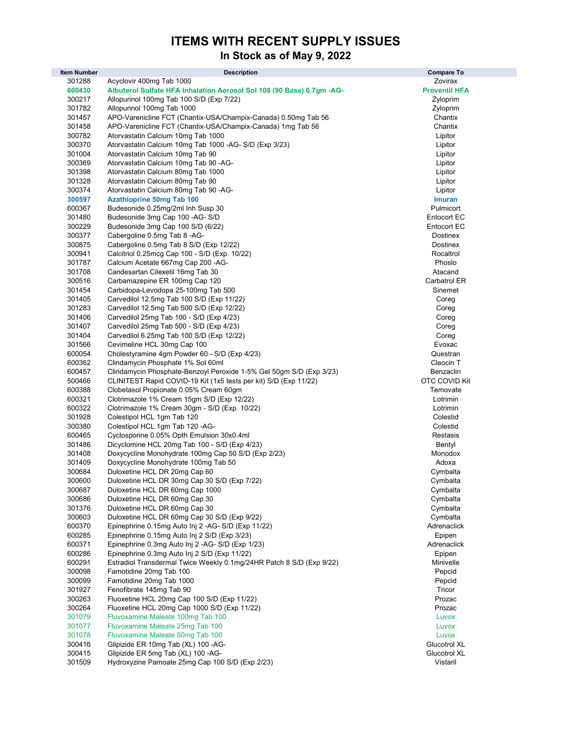# ITEMS WITH RECENT SUPPLY ISSUES

# In Stock as of May 9, 2022

| <b>Item Number</b> | <b>Description</b>                                                                                         | <b>Compare To</b>          |
|--------------------|------------------------------------------------------------------------------------------------------------|----------------------------|
| 301288             | Acyclovir 400mg Tab 1000                                                                                   | Zovirax                    |
| 600430             | Albuterol Sulfate HFA Inhalation Aerosol Sol 108 (90 Base) 6.7gm -AG-                                      | <b>Proventil HFA</b>       |
| 300217             | Allopurinol 100mg Tab 100 S/D (Exp 7/22)                                                                   | Zyloprim                   |
| 301782             | Allopurinol 100mg Tab 1000                                                                                 | Zyloprim                   |
| 301457             | APO-Varenicline FCT (Chantix-USA/Champix-Canada) 0.50mg Tab 56                                             | Chantix                    |
| 301458             | APO-Varenicline FCT (Chantix-USA/Champix-Canada) 1mg Tab 56                                                | Chantix                    |
| 300782             | Atorvastatin Calcium 10mg Tab 1000                                                                         | Lipitor                    |
| 300370             | Atorvastatin Calcium 10mg Tab 1000 -AG- S/D (Exp 3/23)                                                     | Lipitor                    |
| 301004             | Atorvastatin Calcium 10mg Tab 90                                                                           | Lipitor                    |
| 300369             | Atorvastatin Calcium 10mg Tab 90 -AG-                                                                      | Lipitor                    |
| 301398<br>301328   | Atorvastatin Calcium 80mg Tab 1000<br>Atorvastatin Calcium 80mg Tab 90                                     | Lipitor<br>Lipitor         |
| 300374             | Atorvastatin Calcium 80mg Tab 90 - AG-                                                                     | Lipitor                    |
| 300597             | <b>Azathioprine 50mg Tab 100</b>                                                                           | <b>Imuran</b>              |
| 600367             | Budesonide 0.25mg/2ml Inh Susp 30                                                                          | Pulmicort                  |
| 301480             | Budesonide 3mg Cap 100 - AG-S/D                                                                            | <b>Entocort EC</b>         |
| 300229             | Budesonide 3mg Cap 100 S/D (6/22)                                                                          | <b>Entocort EC</b>         |
| 300377             | Cabergoline 0.5mg Tab 8 -AG-                                                                               | Dostinex                   |
| 300875             | Cabergoline 0.5mg Tab 8 S/D (Exp 12/22)                                                                    | Dostinex                   |
| 300941             | Calcitriol 0.25mcg Cap 100 - S/D (Exp. 10/22)                                                              | Rocaltrol                  |
| 301787             | Calcium Acetate 667mg Cap 200 - AG-                                                                        | Phoslo                     |
| 301708             | Candesartan Cilexetil 16mg Tab 30                                                                          | Atacand                    |
| 300516             | Carbamazepine ER 100mg Cap 120                                                                             | Carbatrol ER               |
| 301454             | Carbidopa-Levodopa 25-100mg Tab 500                                                                        | Sinemet                    |
| 301405             | Carvedilol 12.5mg Tab 100 S/D (Exp 11/22)                                                                  | Coreg                      |
| 301283             | Carvedilol 12.5mg Tab 500 S/D (Exp 12/22)                                                                  | Coreg                      |
| 301406             | Carvedilol 25mg Tab 100 - S/D (Exp 4/23)                                                                   | Coreg                      |
| 301407             | Carvedilol 25mg Tab 500 - S/D (Exp 4/23)                                                                   | Coreg                      |
| 301404             | Carvedilol 6.25mg Tab 100 S/D (Exp 12/22)                                                                  | Coreg                      |
| 301566             | Cevimeline HCL 30mg Cap 100                                                                                | Evoxac                     |
| 600054             | Cholestyramine 4gm Powder 60 - S/D (Exp 4/23)                                                              | Questran                   |
| 600362             | Clindamycin Phosphate 1% Sol 60ml                                                                          | Cleocin T                  |
| 600457             | Clindamycin Phosphate-Benzoyl Peroxide 1-5% Gel 50gm S/D (Exp 3/23)                                        | Benzaclin<br>OTC COVID Kit |
| 500466<br>600388   | CLINITEST Rapid COVID-19 Kit (1x5 tests per kit) S/D (Exp 11/22)<br>Clobetasol Propionate 0.05% Cream 60gm | Temovate                   |
| 600321             | Clotrimazole 1% Cream 15gm S/D (Exp 12/22)                                                                 | Lotrimin                   |
| 600322             | Clotrimazole 1% Cream 30gm - S/D (Exp. 10/22)                                                              | Lotrimin                   |
| 301928             | Colestipol HCL 1gm Tab 120                                                                                 | Colestid                   |
| 300380             | Colestipol HCL 1gm Tab 120 -AG-                                                                            | Colestid                   |
| 600465             | Cyclosporine 0.05% Opth Emulsion 30x0.4ml                                                                  | Restasis                   |
| 301486             | Dicyclomine HCL 20mg Tab 100 - S/D (Exp 4/23)                                                              | Bentyl                     |
| 301408             | Doxycycline Monohydrate 100mg Cap 50 S/D (Exp 2/23)                                                        | Monodox                    |
| 301409             | Doxycycline Monohydrate 100mg Tab 50                                                                       | Adoxa                      |
| 300684             | Duloxetine HCL DR 20mg Cap 60                                                                              | Cymbalta                   |
| 300600             | Duloxetine HCL DR 30mg Cap 30 S/D (Exp 7/22)                                                               | Cymbalta                   |
| 300687             | Duloxetine HCL DR 60mg Cap 1000                                                                            | Cymbalta                   |
| 300686             | Duloxetine HCL DR 60mg Cap 30                                                                              | Cymbalta                   |
| 301376             | Duloxetine HCL DR 60mg Cap 30                                                                              | Cymbalta                   |
| 300603             | Duloxetine HCL DR 60mg Cap 30 S/D (Exp 9/22)                                                               | Cymbalta                   |
| 600370             | Epinephrine 0.15mg Auto Inj 2 -AG- S/D (Exp 11/22)                                                         | Adrenaclick                |
| 600285             | Epinephrine 0.15mg Auto Inj 2 S/D (Exp 3/23)                                                               | Epipen                     |
| 600371             | Epinephrine 0.3mg Auto Inj 2 -AG- S/D (Exp 1/23)                                                           | Adrenaclick                |
| 600286<br>600291   | Epinephrine 0.3mg Auto Inj 2 S/D (Exp 11/22)                                                               | Epipen                     |
| 300098             | Estradiol Transdermal Twice Weekly 0.1mg/24HR Patch 8 S/D (Exp 9/22)<br>Famotidine 20mg Tab 100            | Minivelle<br>Pepcid        |
| 300099             | Famotidine 20mg Tab 1000                                                                                   | Pepcid                     |
| 301927             | Fenofibrate 145mg Tab 90                                                                                   | Tricor                     |
| 300263             | Fluoxetine HCL 20mg Cap 100 S/D (Exp 11/22)                                                                | Prozac                     |
| 300264             | Fluoxetine HCL 20mg Cap 1000 S/D (Exp 11/22)                                                               | Prozac                     |
| 301079             | Fluvoxamine Maleate 100mg Tab 100                                                                          | Luvox                      |
| 301077             | Fluvoxamine Maleate 25mg Tab 100                                                                           | Luvox                      |
| 301078             | Fluvoxamine Maleate 50mg Tab 100                                                                           | Luvox                      |
| 300416             | Glipizide ER 10mg Tab (XL) 100 -AG-                                                                        | Glucotrol XL               |
| 300415             | Glipizide ER 5mg Tab (XL) 100 -AG-                                                                         | Glucotrol XL               |
| 301509             | Hydroxyzine Pamoate 25mg Cap 100 S/D (Exp 2/23)                                                            | Vistaril                   |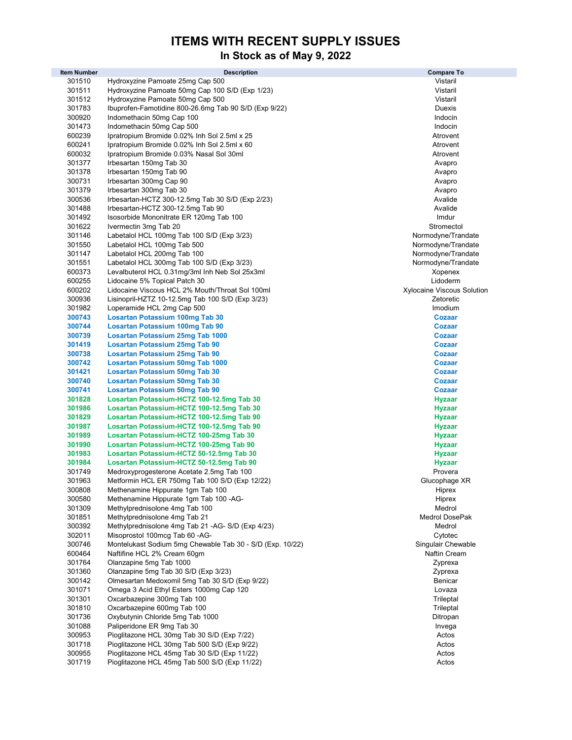#### ITEMS WITH RECENT SUPPLY ISSUES

# In Stock as of May 9, 2022

| <b>Item Number</b> | <b>Description</b>                                                 | <b>Compare To</b>              |
|--------------------|--------------------------------------------------------------------|--------------------------------|
| 301510             | Hydroxyzine Pamoate 25mg Cap 500                                   | Vistaril                       |
| 301511             | Hydroxyzine Pamoate 50mg Cap 100 S/D (Exp 1/23)                    | Vistaril                       |
| 301512             | Hydroxyzine Pamoate 50mg Cap 500                                   | Vistaril                       |
| 301783             | Ibuprofen-Famotidine 800-26.6mg Tab 90 S/D (Exp 9/22)              | Duexis                         |
| 300920             | Indomethacin 50mg Cap 100                                          | Indocin                        |
| 301473             | Indomethacin 50mg Cap 500                                          | Indocin                        |
| 600239             | Ipratropium Bromide 0.02% Inh Sol 2.5ml x 25                       | Atrovent                       |
| 600241             | Ipratropium Bromide 0.02% Inh Sol 2.5ml x 60                       | Atrovent                       |
| 600032             | Ipratropium Bromide 0.03% Nasal Sol 30ml                           | Atrovent                       |
| 301377<br>301378   | Irbesartan 150mg Tab 30                                            | Avapro                         |
| 300731             | Irbesartan 150mg Tab 90<br>Irbesartan 300mg Cap 90                 | Avapro<br>Avapro               |
| 301379             | Irbesartan 300mg Tab 30                                            | Avapro                         |
| 300536             | Irbesartan-HCTZ 300-12.5mg Tab 30 S/D (Exp 2/23)                   | Avalide                        |
| 301488             | Irbesartan-HCTZ 300-12.5mg Tab 90                                  | Avalide                        |
| 301492             | Isosorbide Mononitrate ER 120mg Tab 100                            | Imdur                          |
| 301622             | Ivermectin 3mg Tab 20                                              | Stromectol                     |
| 301146             | Labetalol HCL 100mg Tab 100 S/D (Exp 3/23)                         | Normodyne/Trandate             |
| 301550             | Labetalol HCL 100mg Tab 500                                        | Normodyne/Trandate             |
| 301147             | Labetalol HCL 200mg Tab 100                                        | Normodyne/Trandate             |
| 301551             | Labetalol HCL 300mg Tab 100 S/D (Exp 3/23)                         | Normodyne/Trandate             |
| 600373             | Levalbuterol HCL 0.31mg/3ml Inh Neb Sol 25x3ml                     | Xopenex                        |
| 600255             | Lidocaine 5% Topical Patch 30                                      | Lidoderm                       |
| 600202             | Lidocaine Viscous HCL 2% Mouth/Throat Sol 100ml                    | Xylocaine Viscous Solution     |
| 300936             | Lisinopril-HZTZ 10-12.5mg Tab 100 S/D (Exp 3/23)                   | Zetoretic                      |
| 301982             | Loperamide HCL 2mg Cap 500                                         | Imodium                        |
| 300743             | Losartan Potassium 100mg Tab 30                                    | <b>Cozaar</b>                  |
| 300744             | Losartan Potassium 100mg Tab 90                                    | <b>Cozaar</b>                  |
| 300739             | Losartan Potassium 25mg Tab 1000                                   | <b>Cozaar</b>                  |
| 301419             | Losartan Potassium 25mg Tab 90                                     | <b>Cozaar</b>                  |
| 300738<br>300742   | Losartan Potassium 25mg Tab 90                                     | <b>Cozaar</b>                  |
| 301421             | Losartan Potassium 50mg Tab 1000<br>Losartan Potassium 50mg Tab 30 | <b>Cozaar</b><br><b>Cozaar</b> |
| 300740             | Losartan Potassium 50mg Tab 30                                     | <b>Cozaar</b>                  |
| 300741             | Losartan Potassium 50mg Tab 90                                     | <b>Cozaar</b>                  |
| 301828             | Losartan Potassium-HCTZ 100-12.5mg Tab 30                          | Hyzaar                         |
| 301986             | Losartan Potassium-HCTZ 100-12.5mg Tab 30                          | <b>Hyzaar</b>                  |
| 301829             | Losartan Potassium-HCTZ 100-12.5mg Tab 90                          | <b>Hyzaar</b>                  |
| 301987             | Losartan Potassium-HCTZ 100-12.5mg Tab 90                          | <b>Hyzaar</b>                  |
| 301989             | Losartan Potassium-HCTZ 100-25mg Tab 30                            | <b>Hyzaar</b>                  |
| 301990             | Losartan Potassium-HCTZ 100-25mg Tab 90                            | Hyzaar                         |
| 301983             | Losartan Potassium-HCTZ 50-12.5mg Tab 30                           | <b>Hyzaar</b>                  |
| 301984             | Losartan Potassium-HCTZ 50-12.5mg Tab 90                           | <b>Hyzaar</b>                  |
| 301749             | Medroxyprogesterone Acetate 2.5mg Tab 100                          | Provera                        |
| 301963             | Metformin HCL ER 750mg Tab 100 S/D (Exp 12/22)                     | Glucophage XR                  |
| 300808             | Methenamine Hippurate 1gm Tab 100                                  | Hiprex                         |
| 300580             | Methenamine Hippurate 1gm Tab 100 -AG-                             | Hiprex                         |
| 301309<br>301851   | Methylprednisolone 4mg Tab 100<br>Methylprednisolone 4mg Tab 21    | Medrol<br>Medrol DosePak       |
| 300392             | Methylprednisolone 4mg Tab 21 -AG- S/D (Exp 4/23)                  | Medrol                         |
| 302011             | Misoprostol 100mcg Tab 60 -AG-                                     | Cytotec                        |
| 300746             | Montelukast Sodium 5mg Chewable Tab 30 - S/D (Exp. 10/22)          | Singulair Chewable             |
| 600464             | Naftifine HCL 2% Cream 60gm                                        | Naftin Cream                   |
| 301764             | Olanzapine 5mg Tab 1000                                            | Zyprexa                        |
| 301360             | Olanzapine 5mg Tab 30 S/D (Exp 3/23)                               | Zyprexa                        |
| 300142             | Olmesartan Medoxomil 5mg Tab 30 S/D (Exp 9/22)                     | Benicar                        |
| 301071             | Omega 3 Acid Ethyl Esters 1000mg Cap 120                           | Lovaza                         |
| 301301             | Oxcarbazepine 300mg Tab 100                                        | Trileptal                      |
| 301810             | Oxcarbazepine 600mg Tab 100                                        | Trileptal                      |
| 301736             | Oxybutynin Chloride 5mg Tab 1000                                   | Ditropan                       |
| 301088             | Paliperidone ER 9mg Tab 30                                         | Invega                         |
| 300953             | Pioglitazone HCL 30mg Tab 30 S/D (Exp 7/22)                        | Actos                          |
| 301718             | Pioglitazone HCL 30mg Tab 500 S/D (Exp 9/22)                       | Actos                          |
| 300955             | Pioglitazone HCL 45mg Tab 30 S/D (Exp 11/22)                       | Actos                          |
| 301719             | Pioglitazone HCL 45mg Tab 500 S/D (Exp 11/22)                      | Actos                          |